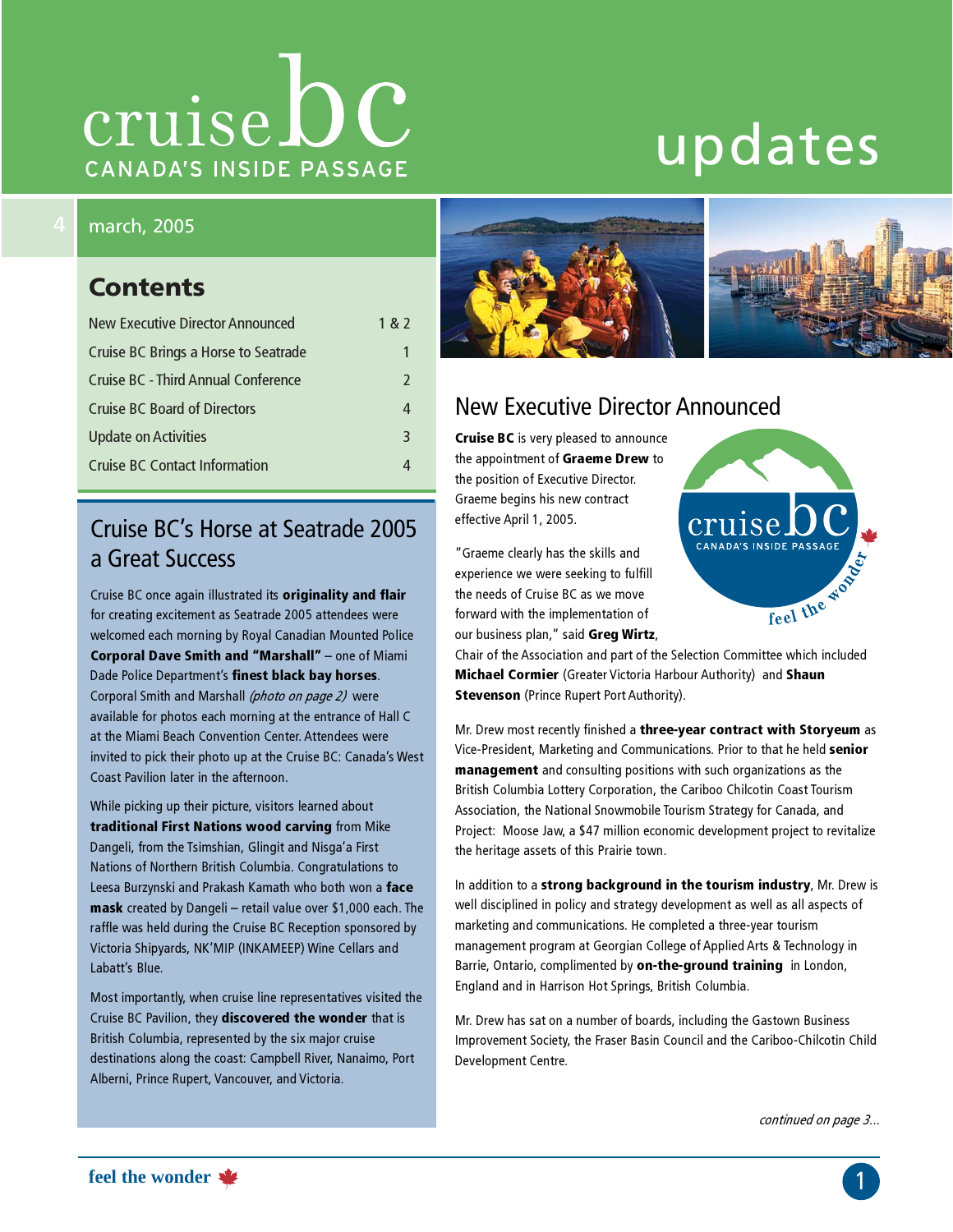# cruise bc CANADA'S INSIDE PASSAGE

# updates

### march, 2005

### **Contents**

| New Executive Director Announced     | 1 & 2         |
|--------------------------------------|---------------|
| Cruise BC Brings a Horse to Seatrade |               |
| Cruise BC - Third Annual Conference  | $\mathcal{P}$ |
| <b>Cruise BC Board of Directors</b>  | 4             |
| <b>Update on Activities</b>          | 3             |
| <b>Cruise BC Contact Information</b> |               |

# Cruise BC's Horse at Seatrade 2005 a Great Success

Cruise BC once again illustrated its originality and flair for creating excitement as Seatrade 2005 attendees were welcomed each morning by Royal Canadian Mounted Police Corporal Dave Smith and "Marshall" – one of Miami Dade Police Department's finest black bay horses. Corporal Smith and Marshall (photo on page 2) were available for photos each morning at the entrance of Hall C at the Miami Beach Convention Center. Attendees were invited to pick their photo up at the Cruise BC: Canada's West Coast Pavilion later in the afternoon.

While picking up their picture, visitors learned about traditional First Nations wood carving from Mike Dangeli, from the Tsimshian, Glingit and Nisga'a First Nations of Northern British Columbia. Congratulations to Leesa Burzynski and Prakash Kamath who both won a face mask created by Dangeli – retail value over \$1,000 each. The raffle was held during the Cruise BC Reception sponsored by Victoria Shipyards, NK'MIP (INKAMEEP) Wine Cellars and Labatt's Blue.

Most importantly, when cruise line representatives visited the Cruise BC Pavilion, they discovered the wonder that is British Columbia, represented by the six major cruise destinations along the coast: Campbell River, Nanaimo, Port Alberni, Prince Rupert, Vancouver, and Victoria.



## New Executive Director Announced

Cruise BC is very pleased to announce the appointment of Graeme Drew to the position of Executive Director. Graeme begins his new contract effective April 1, 2005.

"Graeme clearly has the skills and experience we were seeking to fulfill the needs of Cruise BC as we move forward with the implementation of our business plan," said Greg Wirtz, Chair of the Association and part of the Selection Committee which included



**Michael Cormier** (Greater Victoria Harbour Authority) and Shaun **Stevenson** (Prince Rupert Port Authority).

Mr. Drew most recently finished a three-year contract with Storyeum as Vice-President, Marketing and Communications. Prior to that he held senior management and consulting positions with such organizations as the British Columbia Lottery Corporation, the Cariboo Chilcotin Coast Tourism Association, the National Snowmobile Tourism Strategy for Canada, and Project: Moose Jaw, a \$47 million economic development project to revitalize the heritage assets of this Prairie town.

In addition to a strong background in the tourism industry, Mr. Drew is well disciplined in policy and strategy development as well as all aspects of marketing and communications. He completed a three-year tourism management program at Georgian College of Applied Arts & Technology in Barrie, Ontario, complimented by on-the-ground training in London, England and in Harrison Hot Springs, British Columbia.

Mr. Drew has sat on a number of boards, including the Gastown Business Improvement Society, the Fraser Basin Council and the Cariboo-Chilcotin Child Development Centre.

continued on page 3...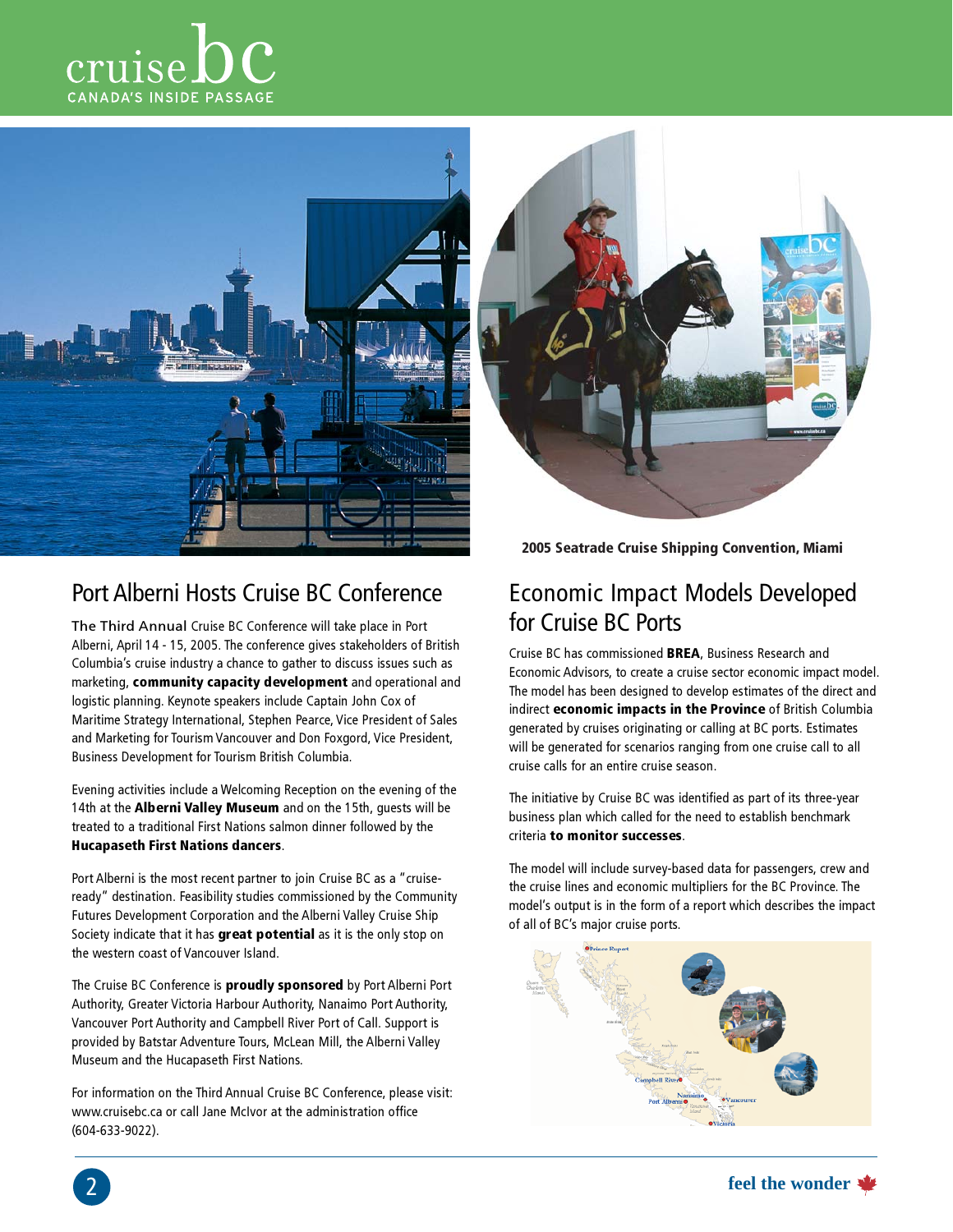



![](_page_1_Picture_2.jpeg)

## Port Alberni Hosts Cruise BC Conference

The Third Annual Cruise BC Conference will take place in Port Alberni, April 14 - 15, 2005. The conference gives stakeholders of British Columbia's cruise industry a chance to gather to discuss issues such as marketing, community capacity development and operational and logistic planning. Keynote speakers include Captain John Cox of Maritime Strategy International, Stephen Pearce, Vice President of Sales and Marketing for Tourism Vancouver and Don Foxgord, Vice President, Business Development for Tourism British Columbia.

Evening activities include a Welcoming Reception on the evening of the 14th at the **Alberni Valley Museum** and on the 15th, quests will be treated to a traditional First Nations salmon dinner followed by the Hucapaseth First Nations dancers.

Port Alberni is the most recent partner to join Cruise BC as a "cruiseready" destination. Feasibility studies commissioned by the Community Futures Development Corporation and the Alberni Valley Cruise Ship Society indicate that it has great potential as it is the only stop on the western coast of Vancouver Island.

The Cruise BC Conference is **proudly sponsored** by Port Alberni Port Authority, Greater Victoria Harbour Authority, Nanaimo Port Authority, Vancouver Port Authority and Campbell River Port of Call. Support is provided by Batstar Adventure Tours, McLean Mill, the Alberni Valley Museum and the Hucapaseth First Nations.

For information on the Third Annual Cruise BC Conference, please visit: www.cruisebc.ca or call Jane McIvor at the administration office (604-633-9022).

2005 Seatrade Cruise Shipping Convention, Miami

# Economic Impact Models Developed for Cruise BC Ports

Cruise BC has commissioned BREA, Business Research and Economic Advisors, to create a cruise sector economic impact model. The model has been designed to develop estimates of the direct and indirect economic impacts in the Province of British Columbia generated by cruises originating or calling at BC ports. Estimates will be generated for scenarios ranging from one cruise call to all cruise calls for an entire cruise season.

The initiative by Cruise BC was identified as part of its three-year business plan which called for the need to establish benchmark criteria to monitor successes.

The model will include survey-based data for passengers, crew and the cruise lines and economic multipliers for the BC Province. The model's output is in the form of a report which describes the impact of all of BC's major cruise ports.

![](_page_1_Picture_14.jpeg)

![](_page_1_Picture_15.jpeg)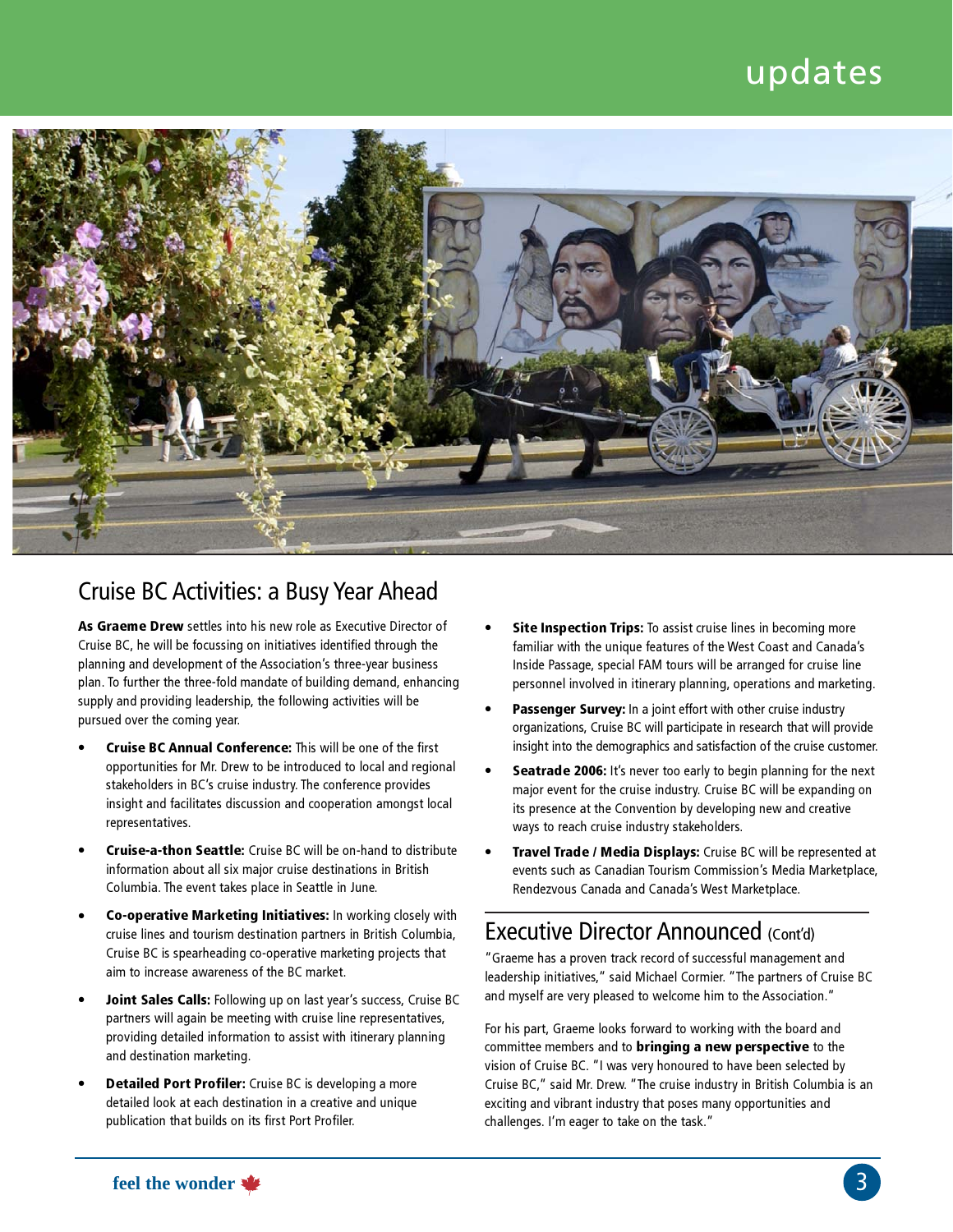# updates

![](_page_2_Picture_1.jpeg)

## Cruise BC Activities: a Busy Year Ahead

As Graeme Drew settles into his new role as Executive Director of Cruise BC, he will be focussing on initiatives identified through the planning and development of the Association's three-year business plan. To further the three-fold mandate of building demand, enhancing supply and providing leadership, the following activities will be pursued over the coming year.

- Cruise BC Annual Conference: This will be one of the first opportunities for Mr. Drew to be introduced to local and regional stakeholders in BC's cruise industry. The conference provides insight and facilitates discussion and cooperation amongst local representatives.
- Cruise-a-thon Seattle: Cruise BC will be on-hand to distribute information about all six major cruise destinations in British Columbia. The event takes place in Seattle in June.
- Co-operative Marketing Initiatives: In working closely with cruise lines and tourism destination partners in British Columbia, Cruise BC is spearheading co-operative marketing projects that aim to increase awareness of the BC market.
- Joint Sales Calls: Following up on last year's success, Cruise BC partners will again be meeting with cruise line representatives, providing detailed information to assist with itinerary planning and destination marketing.
- Detailed Port Profiler: Cruise BC is developing a more detailed look at each destination in a creative and unique publication that builds on its first Port Profiler.
- Site Inspection Trips: To assist cruise lines in becoming more familiar with the unique features of the West Coast and Canada's Inside Passage, special FAM tours will be arranged for cruise line personnel involved in itinerary planning, operations and marketing.
- Passenger Survey: In a joint effort with other cruise industry organizations, Cruise BC will participate in research that will provide insight into the demographics and satisfaction of the cruise customer.
- Seatrade 2006: It's never too early to begin planning for the next major event for the cruise industry. Cruise BC will be expanding on its presence at the Convention by developing new and creative ways to reach cruise industry stakeholders.
- Travel Trade / Media Displays: Cruise BC will be represented at events such as Canadian Tourism Commission's Media Marketplace, Rendezvous Canada and Canada's West Marketplace.

### Executive Director Announced (Cont'd)

"Graeme has a proven track record of successful management and leadership initiatives," said Michael Cormier. "The partners of Cruise BC and myself are very pleased to welcome him to the Association."

For his part, Graeme looks forward to working with the board and committee members and to bringing a new perspective to the vision of Cruise BC. "I was very honoured to have been selected by Cruise BC," said Mr. Drew. "The cruise industry in British Columbia is an exciting and vibrant industry that poses many opportunities and challenges. I'm eager to take on the task."